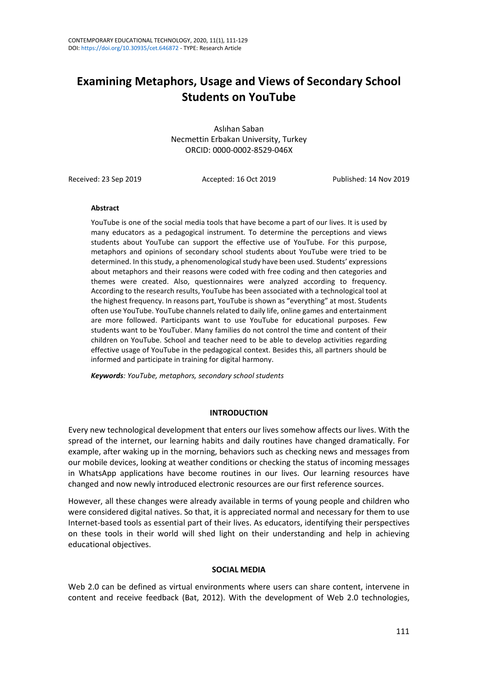# **Examining Metaphors, Usage and Views of Secondary School Students on YouTube**

Aslıhan Saban Necmettin Erbakan University, Turkey ORCID: 0000-0002-8529-046X

Received: 23 Sep 2019 Accepted: 16 Oct 2019 Published: 14 Nov 2019

### **Abstract**

YouTube is one of the social media tools that have become a part of our lives. It is used by many educators as a pedagogical instrument. To determine the perceptions and views students about YouTube can support the effective use of YouTube. For this purpose, metaphors and opinions of secondary school students about YouTube were tried to be determined. In this study, a phenomenological study have been used. Students' expressions about metaphors and their reasons were coded with free coding and then categories and themes were created. Also, questionnaires were analyzed according to frequency. According to the research results, YouTube has been associated with a technological tool at the highest frequency. In reasons part, YouTube is shown as "everything" at most. Students often use YouTube. YouTube channels related to daily life, online games and entertainment are more followed. Participants want to use YouTube for educational purposes. Few students want to be YouTuber. Many families do not control the time and content of their children on YouTube. School and teacher need to be able to develop activities regarding effective usage of YouTube in the pedagogical context. Besides this, all partners should be informed and participate in training for digital harmony.

*Keywords: YouTube, metaphors, secondary school students*

# **INTRODUCTION**

Every new technological development that enters our lives somehow affects our lives. With the spread of the internet, our learning habits and daily routines have changed dramatically. For example, after waking up in the morning, behaviors such as checking news and messages from our mobile devices, looking at weather conditions or checking the status of incoming messages in WhatsApp applications have become routines in our lives. Our learning resources have changed and now newly introduced electronic resources are our first reference sources.

However, all these changes were already available in terms of young people and children who were considered digital natives. So that, it is appreciated normal and necessary for them to use Internet-based tools as essential part of their lives. As educators, identifying their perspectives on these tools in their world will shed light on their understanding and help in achieving educational objectives.

### **SOCIAL MEDIA**

Web 2.0 can be defined as virtual environments where users can share content, intervene in content and receive feedback (Bat, 2012). With the development of Web 2.0 technologies,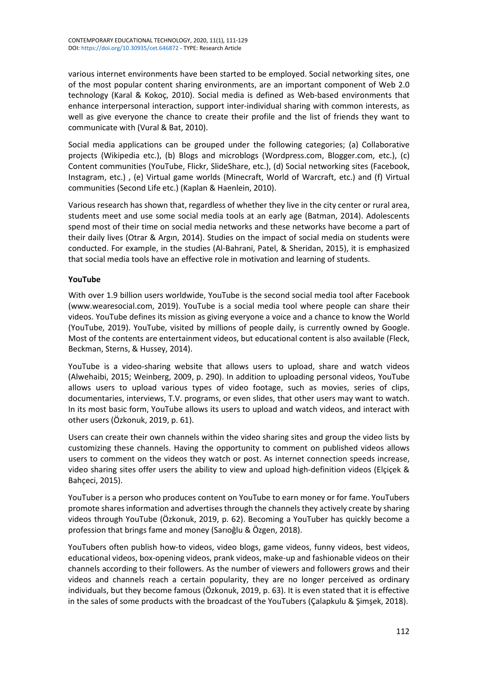various internet environments have been started to be employed. Social networking sites, one of the most popular content sharing environments, are an important component of Web 2.0 technology (Karal & Kokoç, 2010). Social media is defined as Web-based environments that enhance interpersonal interaction, support inter-individual sharing with common interests, as well as give everyone the chance to create their profile and the list of friends they want to communicate with (Vural & Bat, 2010).

Social media applications can be grouped under the following categories; (a) Collaborative projects (Wikipedia etc.), (b) Blogs and microblogs (Wordpress.com, Blogger.com, etc.), (c) Content communities (YouTube, Flickr, SlideShare, etc.), (d) Social networking sites (Facebook, Instagram, etc.) , (e) Virtual game worlds (Minecraft, World of Warcraft, etc.) and (f) Virtual communities (Second Life etc.) (Kaplan & Haenlein, 2010).

Various research has shown that, regardless of whether they live in the city center or rural area, students meet and use some social media tools at an early age (Batman, 2014). Adolescents spend most of their time on social media networks and these networks have become a part of their daily lives (Otrar & Argın, 2014). Studies on the impact of social media on students were conducted. For example, in the studies (Al-Bahrani, Patel, & Sheridan, 2015), it is emphasized that social media tools have an effective role in motivation and learning of students.

# **YouTube**

With over 1.9 billion users worldwide, YouTube is the second social media tool after Facebook (www.wearesocial.com, 2019). YouTube is a social media tool where people can share their videos. YouTube defines its mission as giving everyone a voice and a chance to know the World (YouTube, 2019). YouTube, visited by millions of people daily, is currently owned by Google. Most of the contents are entertainment videos, but educational content is also available (Fleck, Beckman, Sterns, & Hussey, 2014).

YouTube is a video-sharing website that allows users to upload, share and watch videos (Alwehaibi, 2015; Weinberg, 2009, p. 290). In addition to uploading personal videos, YouTube allows users to upload various types of video footage, such as movies, series of clips, documentaries, interviews, T.V. programs, or even slides, that other users may want to watch. In its most basic form, YouTube allows its users to upload and watch videos, and interact with other users (Özkonuk, 2019, p. 61).

Users can create their own channels within the video sharing sites and group the video lists by customizing these channels. Having the opportunity to comment on published videos allows users to comment on the videos they watch or post. As internet connection speeds increase, video sharing sites offer users the ability to view and upload high-definition videos (Elçiçek & Bahçeci, 2015).

YouTuber is a person who produces content on YouTube to earn money or for fame. YouTubers promote shares information and advertises through the channels they actively create by sharing videos through YouTube (Özkonuk, 2019, p. 62). Becoming a YouTuber has quickly become a profession that brings fame and money (Sarıoğlu & Özgen, 2018).

YouTubers often publish how-to videos, video blogs, game videos, funny videos, best videos, educational videos, box-opening videos, prank videos, make-up and fashionable videos on their channels according to their followers. As the number of viewers and followers grows and their videos and channels reach a certain popularity, they are no longer perceived as ordinary individuals, but they become famous (Özkonuk, 2019, p. 63). It is even stated that it is effective in the sales of some products with the broadcast of the YouTubers (Çalapkulu & Şimşek, 2018).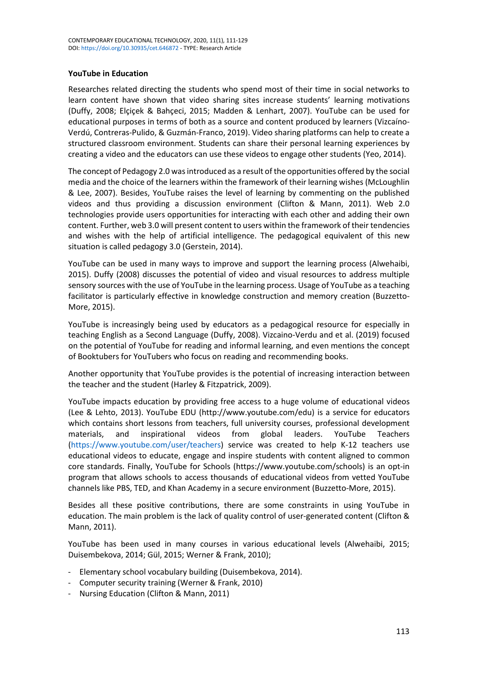# **YouTube in Education**

Researches related directing the students who spend most of their time in social networks to learn content have shown that video sharing sites increase students' learning motivations (Duffy, 2008; Elçiçek & Bahçeci, 2015; Madden & Lenhart, 2007). YouTube can be used for educational purposes in terms of both as a source and content produced by learners (Vizcaíno-Verdú, Contreras-Pulido, & Guzmán-Franco, 2019). Video sharing platforms can help to create a structured classroom environment. Students can share their personal learning experiences by creating a video and the educators can use these videos to engage other students (Yeo, 2014).

The concept of Pedagogy 2.0 was introduced as a result of the opportunities offered by the social media and the choice of the learners within the framework of their learning wishes (McLoughlin & Lee, 2007). Besides, YouTube raises the level of learning by commenting on the published videos and thus providing a discussion environment (Clifton & Mann, 2011). Web 2.0 technologies provide users opportunities for interacting with each other and adding their own content. Further, web 3.0 will present content to users within the framework of their tendencies and wishes with the help of artificial intelligence. The pedagogical equivalent of this new situation is called pedagogy 3.0 (Gerstein, 2014).

YouTube can be used in many ways to improve and support the learning process (Alwehaibi, 2015). Duffy (2008) discusses the potential of video and visual resources to address multiple sensory sources with the use of YouTube in the learning process. Usage of YouTube as a teaching facilitator is particularly effective in knowledge construction and memory creation (Buzzetto-More, 2015).

YouTube is increasingly being used by educators as a pedagogical resource for especially in teaching English as a Second Language (Duffy, 2008). Vizcaino-Verdu and et al. (2019) focused on the potential of YouTube for reading and informal learning, and even mentions the concept of Booktubers for YouTubers who focus on reading and recommending books.

Another opportunity that YouTube provides is the potential of increasing interaction between the teacher and the student (Harley & Fitzpatrick, 2009).

YouTube impacts education by providing free access to a huge volume of educational videos (Lee & Lehto, 2013). YouTube EDU (http://www.youtube.com/edu) is a service for educators which contains short lessons from teachers, full university courses, professional development materials, and inspirational videos from global leaders. YouTube Teachers (<https://www.youtube.com/user/teachers>) service was created to help K-12 teachers use educational videos to educate, engage and inspire students with content aligned to common core standards. Finally, YouTube for Schools (https://www.youtube.com/schools) is an opt-in program that allows schools to access thousands of educational videos from vetted YouTube channels like PBS, TED, and Khan Academy in a secure environment (Buzzetto-More, 2015).

Besides all these positive contributions, there are some constraints in using YouTube in education. The main problem is the lack of quality control of user-generated content (Clifton & Mann, 2011).

YouTube has been used in many courses in various educational levels (Alwehaibi, 2015; Duisembekova, 2014; Gül, 2015; Werner & Frank, 2010);

- Elementary school vocabulary building (Duisembekova, 2014).
- Computer security training (Werner & Frank, 2010)
- Nursing Education (Clifton & Mann, 2011)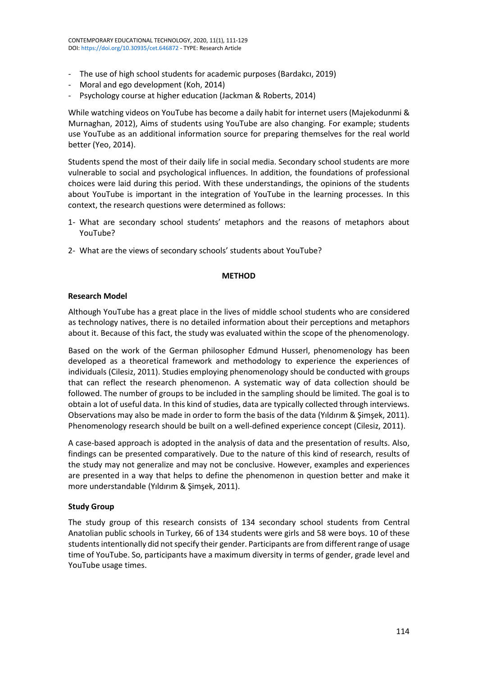- The use of high school students for academic purposes (Bardakcı, 2019)
- Moral and ego development (Koh, 2014)
- Psychology course at higher education (Jackman & Roberts, 2014)

While watching videos on YouTube has become a daily habit for internet users (Majekodunmi & Murnaghan, 2012), Aims of students using YouTube are also changing. For example; students use YouTube as an additional information source for preparing themselves for the real world better (Yeo, 2014).

Students spend the most of their daily life in social media. Secondary school students are more vulnerable to social and psychological influences. In addition, the foundations of professional choices were laid during this period. With these understandings, the opinions of the students about YouTube is important in the integration of YouTube in the learning processes. In this context, the research questions were determined as follows:

- 1- What are secondary school students' metaphors and the reasons of metaphors about YouTube?
- 2- What are the views of secondary schools' students about YouTube?

### **METHOD**

# **Research Model**

Although YouTube has a great place in the lives of middle school students who are considered as technology natives, there is no detailed information about their perceptions and metaphors about it. Because of this fact, the study was evaluated within the scope of the phenomenology.

Based on the work of the German philosopher Edmund Husserl, phenomenology has been developed as a theoretical framework and methodology to experience the experiences of individuals (Cilesiz, 2011). Studies employing phenomenology should be conducted with groups that can reflect the research phenomenon. A systematic way of data collection should be followed. The number of groups to be included in the sampling should be limited. The goal is to obtain a lot of useful data. In this kind of studies, data are typically collected through interviews. Observations may also be made in order to form the basis of the data (Yıldırım & Şimşek, 2011). Phenomenology research should be built on a well-defined experience concept (Cilesiz, 2011).

A case-based approach is adopted in the analysis of data and the presentation of results. Also, findings can be presented comparatively. Due to the nature of this kind of research, results of the study may not generalize and may not be conclusive. However, examples and experiences are presented in a way that helps to define the phenomenon in question better and make it more understandable (Yıldırım & Şimşek, 2011).

# **Study Group**

The study group of this research consists of 134 secondary school students from Central Anatolian public schools in Turkey, 66 of 134 students were girls and 58 were boys. 10 of these students intentionally did not specify their gender. Participants are from different range of usage time of YouTube. So, participants have a maximum diversity in terms of gender, grade level and YouTube usage times.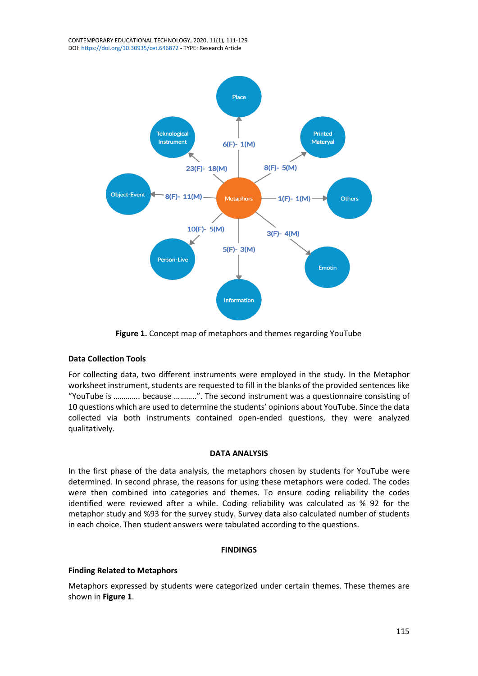

**Figure 1.** Concept map of metaphors and themes regarding YouTube

# **Data Collection Tools**

For collecting data, two different instruments were employed in the study. In the Metaphor worksheet instrument, students are requested to fill in the blanks of the provided sentences like "YouTube is …………. because ………..". The second instrument was a questionnaire consisting of 10 questions which are used to determine the students' opinions about YouTube. Since the data collected via both instruments contained open-ended questions, they were analyzed qualitatively.

# **DATA ANALYSIS**

In the first phase of the data analysis, the metaphors chosen by students for YouTube were determined. In second phrase, the reasons for using these metaphors were coded. The codes were then combined into categories and themes. To ensure coding reliability the codes identified were reviewed after a while. Coding reliability was calculated as % 92 for the metaphor study and %93 for the survey study. Survey data also calculated number of students in each choice. Then student answers were tabulated according to the questions.

# **FINDINGS**

# **Finding Related to Metaphors**

Metaphors expressed by students were categorized under certain themes. These themes are shown in **Figure 1**.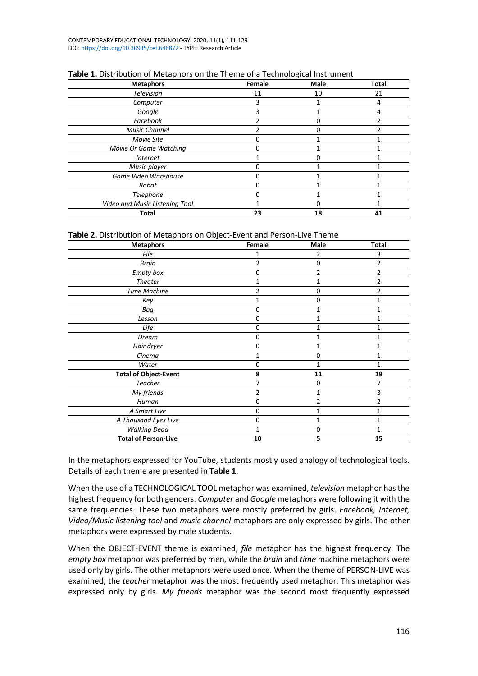CONTEMPORARY EDUCATIONAL TECHNOLOGY, 2020, 11(1), 111-129 DOI: <https://doi.org/10.30935/cet.646872> - TYPE: Research Article

| <b>Metaphors</b>               | Female | Male | <b>Total</b> |
|--------------------------------|--------|------|--------------|
| Television                     | 11     | 10   | 21           |
| Computer                       |        |      | 4            |
| Google                         |        |      | 4            |
| Facebook                       |        |      |              |
| <b>Music Channel</b>           |        |      |              |
| Movie Site                     |        |      |              |
| Movie Or Game Watching         | ი      |      |              |
| <b>Internet</b>                |        |      |              |
| Music player                   | O      |      |              |
| Game Video Warehouse           |        |      |              |
| Robot                          | O      |      |              |
| Telephone                      | O      |      |              |
| Video and Music Listening Tool |        |      |              |
| Total                          | 23     | 18   | 41           |

# **Table 1.** Distribution of Metaphors on the Theme of a Technological Instrument

### **Table 2.** Distribution of Metaphors on Object-Event and Person-Live Theme

| Female | Male         | <b>Total</b>   |
|--------|--------------|----------------|
|        | 2            | 3              |
| 2      | $\Omega$     | 2              |
| 0      | 2            | $\overline{2}$ |
| 1      |              | $\overline{2}$ |
| 2      | 0            | 2              |
| 1      | $\Omega$     | 1              |
| 0      |              | 1              |
| 0      |              |                |
| 0      | 1            | 1              |
| n      |              |                |
| 0      |              | 1              |
| 1      | $\Omega$     | 1              |
| 0      |              |                |
| 8      | 11           | 19             |
| 7      | <sup>0</sup> | 7              |
| 2      |              | 3              |
| 0      | 2            | 2              |
| 0      |              | 1              |
| 0      |              | 1              |
| 1      | $\Omega$     |                |
| 10     | 5            | 15             |
|        |              |                |

In the metaphors expressed for YouTube, students mostly used analogy of technological tools. Details of each theme are presented in **Table 1**.

When the use of a TECHNOLOGICAL TOOL metaphor was examined, *television* metaphor hasthe highest frequency for both genders. *Computer* and *Google* metaphors were following it with the same frequencies. These two metaphors were mostly preferred by girls. *Facebook, Internet, Video/Music listening tool* and *music channel* metaphors are only expressed by girls. The other metaphors were expressed by male students.

When the OBJECT-EVENT theme is examined, *file* metaphor has the highest frequency. The *empty box* metaphor was preferred by men, while the *brain* and *time* machine metaphors were used only by girls. The other metaphors were used once. When the theme of PERSON-LIVE was examined, the *teacher* metaphor was the most frequently used metaphor. This metaphor was expressed only by girls. *My friends* metaphor was the second most frequently expressed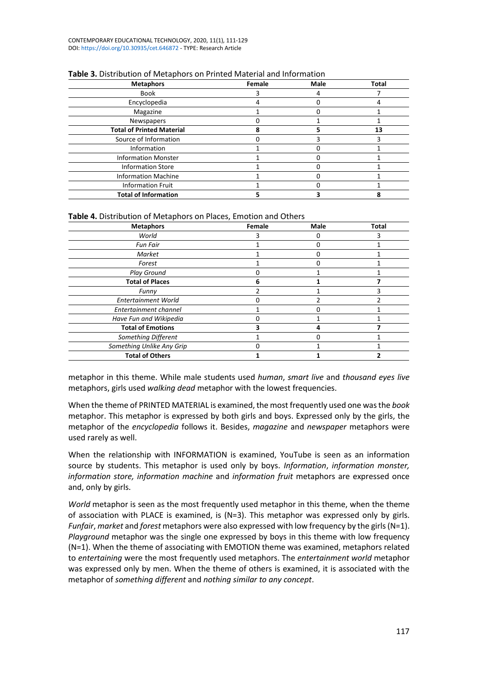| <b>Metaphors</b>                 | Female | <b>Male</b> | <b>Total</b> |
|----------------------------------|--------|-------------|--------------|
| Book                             |        |             |              |
| Encyclopedia                     |        |             |              |
| Magazine                         |        |             |              |
| Newspapers                       |        |             |              |
| <b>Total of Printed Material</b> |        |             | 13           |
| Source of Information            |        |             |              |
| Information                      |        |             |              |
| <b>Information Monster</b>       |        |             |              |
| <b>Information Store</b>         |        |             |              |
| <b>Information Machine</b>       |        |             |              |
| <b>Information Fruit</b>         |        |             |              |
| <b>Total of Information</b>      |        |             |              |

# **Table 3.** Distribution of Metaphors on Printed Material and Information

# **Table 4.** Distribution of Metaphors on Places, Emotion and Others

| <b>Metaphors</b>           | Female | Male | <b>Total</b> |
|----------------------------|--------|------|--------------|
| World                      |        |      |              |
| <b>Fun Fair</b>            |        |      |              |
| Market                     |        |      |              |
| Forest                     |        |      |              |
| <b>Play Ground</b>         |        |      |              |
| <b>Total of Places</b>     |        |      |              |
| Funny                      |        |      |              |
| <b>Entertainment World</b> |        |      |              |
| Entertainment channel      |        |      |              |
| Have Fun and Wikipedia     |        |      |              |
| <b>Total of Emotions</b>   |        |      |              |
| Something Different        |        |      |              |
| Something Unlike Any Grip  |        |      |              |
| <b>Total of Others</b>     |        |      |              |

metaphor in this theme. While male students used *human*, *smart live* and *thousand eyes live* metaphors, girls used *walking dead* metaphor with the lowest frequencies.

When the theme of PRINTED MATERIAL is examined, the most frequently used one wasthe *book* metaphor. This metaphor is expressed by both girls and boys. Expressed only by the girls, the metaphor of the *encyclopedia* follows it. Besides, *magazine* and *newspaper* metaphors were used rarely as well.

When the relationship with INFORMATION is examined, YouTube is seen as an information source by students. This metaphor is used only by boys. *Information*, *information monster, information store, information machine* and *information fruit* metaphors are expressed once and, only by girls.

*World* metaphor is seen as the most frequently used metaphor in this theme, when the theme of association with PLACE is examined, is  $(N=3)$ . This metaphor was expressed only by girls. *Funfair*, *market* and *forest* metaphors were also expressed with low frequency by the girls(N=1). *Playground* metaphor was the single one expressed by boys in this theme with low frequency (N=1). When the theme of associating with EMOTION theme was examined, metaphors related to *entertaining* were the most frequently used metaphors. The *entertainment world* metaphor was expressed only by men. When the theme of others is examined, it is associated with the metaphor of *something different* and *nothing similar to any concept*.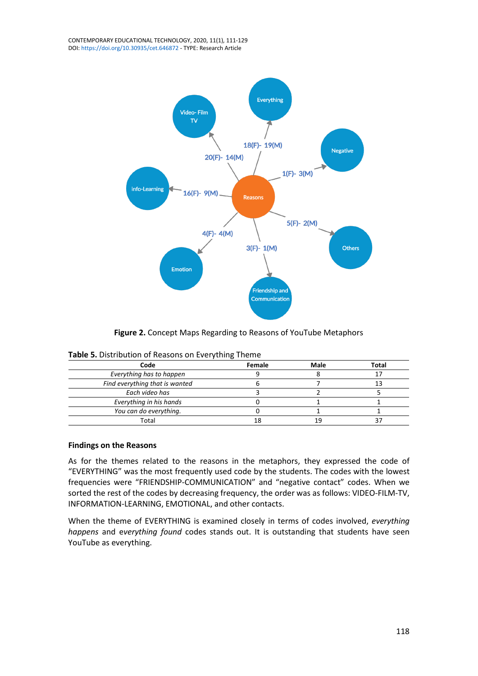

**Figure 2.** Concept Maps Regarding to Reasons of YouTube Metaphors

| Code                           | Female | Male | Total |
|--------------------------------|--------|------|-------|
| Everything has to happen       |        |      |       |
| Find everything that is wanted |        |      |       |
| Each video has                 |        |      |       |
| Everything in his hands        |        |      |       |
| You can do everything.         |        |      |       |
| Total                          |        |      |       |

**Table 5.** Distribution of Reasons on Everything Theme

# **Findings on the Reasons**

As for the themes related to the reasons in the metaphors, they expressed the code of "EVERYTHING" was the most frequently used code by the students. The codes with the lowest frequencies were "FRIENDSHIP-COMMUNICATION" and "negative contact" codes. When we sorted the rest of the codes by decreasing frequency, the order was as follows: VIDEO-FILM-TV, INFORMATION-LEARNING, EMOTIONAL, and other contacts.

When the theme of EVERYTHING is examined closely in terms of codes involved, *everything happens* and e*verything found* codes stands out. It is outstanding that students have seen YouTube as everything.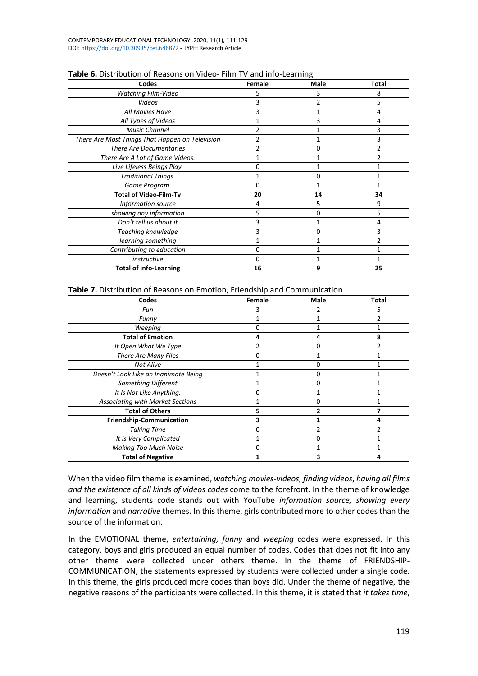| Codes                                           | Female | Male | Total |
|-------------------------------------------------|--------|------|-------|
| <b>Watching Film-Video</b>                      |        |      | 8     |
| Videos                                          |        |      | 5     |
| All Movies Have                                 |        |      |       |
| All Types of Videos                             |        |      | 4     |
| <b>Music Channel</b>                            |        |      | 3     |
| There Are Most Things That Happen on Television | 2      |      | 3     |
| <b>There Are Documentaries</b>                  |        |      |       |
| There Are A Lot of Game Videos.                 |        |      |       |
| Live Lifeless Beings Play.                      | n      |      |       |
| <b>Traditional Things.</b>                      |        | 0    |       |
| Game Program.                                   | ი      |      |       |
| <b>Total of Video-Film-Tv</b>                   | 20     | 14   | 34    |
| Information source                              | Δ      | 5    | 9     |
| showing any information                         | 5      | 0    | 5     |
| Don't tell us about it                          |        |      | 4     |
| Teaching knowledge                              |        | U    | 3     |
| learning something                              |        |      | 2     |
| Contributing to education                       | n      |      |       |
| instructive                                     | ი      |      |       |
| <b>Total of info-Learning</b>                   | 16     | 9    | 25    |

### **Table 6.** Distribution of Reasons on Video- Film TV and info-Learning

#### **Table 7.** Distribution of Reasons on Emotion, Friendship and Communication

| Codes                                   | Female | <b>Male</b> | <b>Total</b> |
|-----------------------------------------|--------|-------------|--------------|
| Fun                                     |        |             | 5            |
| Funny                                   |        |             |              |
| Weeping                                 | O      |             |              |
| <b>Total of Emotion</b>                 |        |             |              |
| It Open What We Type                    |        |             |              |
| There Are Many Files                    | n      |             |              |
| <b>Not Alive</b>                        |        | U           |              |
| Doesn't Look Like an Inanimate Being    |        |             |              |
| Something Different                     |        |             |              |
| It Is Not Like Anything.                |        |             |              |
| <b>Associating with Market Sections</b> |        |             |              |
| <b>Total of Others</b>                  |        |             |              |
| Friendship-Communication                |        |             |              |
| <b>Taking Time</b>                      |        |             |              |
| It Is Very Complicated                  |        |             |              |
| <b>Making Too Much Noise</b>            |        |             |              |
| <b>Total of Negative</b>                |        |             |              |

When the video film theme is examined, *watching movies-videos, finding videos*, *having all films and the existence of all kinds of videos codes* come to the forefront. In the theme of knowledge and learning, students code stands out with YouTube *information source, showing every information* and *narrative* themes. In this theme, girls contributed more to other codes than the source of the information.

In the EMOTIONAL theme, *entertaining, funny* and *weeping* codes were expressed. In this category, boys and girls produced an equal number of codes. Codes that does not fit into any other theme were collected under others theme. In the theme of FRIENDSHIP-COMMUNICATION, the statements expressed by students were collected under a single code. In this theme, the girls produced more codes than boys did. Under the theme of negative, the negative reasons of the participants were collected. In this theme, it is stated that *it takes time*,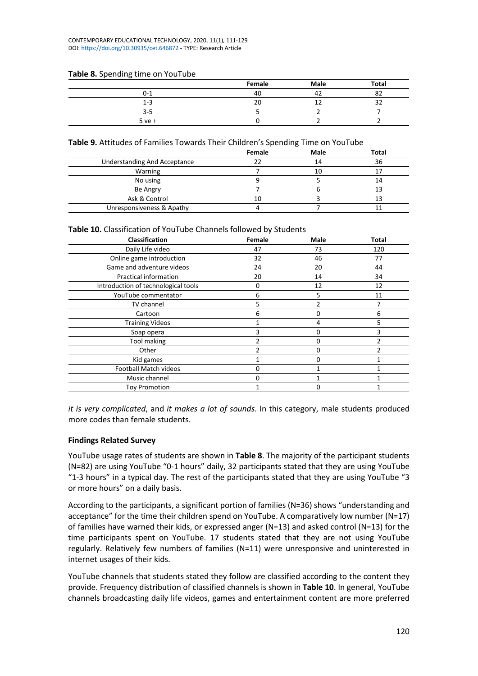#### CONTEMPORARY EDUCATIONAL TECHNOLOGY, 2020, 11(1), 111-129 DOI: <https://doi.org/10.30935/cet.646872> - TYPE: Research Article

| <b>Example of Speriums</b> can be stated |        |      |       |
|------------------------------------------|--------|------|-------|
|                                          | Female | Male | Total |
| $0 - 1$                                  | 40     |      | ັ     |
| $1 - 3$                                  | 20     |      |       |
| $3 - 5$                                  |        |      |       |
| $5ve+$                                   |        |      |       |

### **Table 8.** Spending time on YouTube

### **Table 9.** Attitudes of Families Towards Their Children's Spending Time on YouTube

|                              | Female | Male | Total |
|------------------------------|--------|------|-------|
| Understanding And Acceptance |        |      | 36    |
| Warning                      |        | 10   |       |
| No using                     |        |      | L4    |
| Be Angry                     |        |      |       |
| Ask & Control                |        |      |       |
| Unresponsiveness & Apathy    |        |      |       |

### **Table 10.** Classification of YouTube Channels followed by Students

| Classification                      | Female | Male     | Total |
|-------------------------------------|--------|----------|-------|
| Daily Life video                    | 47     | 73       | 120   |
| Online game introduction            | 32     | 46       | 77    |
| Game and adventure videos           | 24     | 20       | 44    |
| <b>Practical information</b>        | 20     | 14       | 34    |
| Introduction of technological tools | O      | 12       | 12    |
| YouTube commentator                 | 6      | 5        | 11    |
| TV channel                          | 5      |          |       |
| Cartoon                             | 6      | 0        | 6     |
| <b>Training Videos</b>              |        | 4        | 5     |
| Soap opera                          |        | $\Omega$ | 3     |
| Tool making                         |        | U        | າ     |
| Other                               |        |          |       |
| Kid games                           |        |          |       |
| <b>Football Match videos</b>        | O      |          |       |
| Music channel                       | n      |          |       |
| <b>Toy Promotion</b>                |        |          |       |

*it is very complicated*, and *it makes a lot of sounds*. In this category, male students produced more codes than female students.

### **Findings Related Survey**

YouTube usage rates of students are shown in **Table 8**. The majority of the participant students (N=82) are using YouTube "0-1 hours" daily, 32 participants stated that they are using YouTube "1-3 hours" in a typical day. The rest of the participants stated that they are using YouTube "3 or more hours" on a daily basis.

According to the participants, a significant portion of families (N=36) shows "understanding and acceptance" for the time their children spend on YouTube. A comparatively low number (N=17) of families have warned their kids, or expressed anger (N=13) and asked control (N=13) for the time participants spent on YouTube. 17 students stated that they are not using YouTube regularly. Relatively few numbers of families (N=11) were unresponsive and uninterested in internet usages of their kids.

YouTube channels that students stated they follow are classified according to the content they provide. Frequency distribution of classified channels is shown in **Table 10**. In general, YouTube channels broadcasting daily life videos, games and entertainment content are more preferred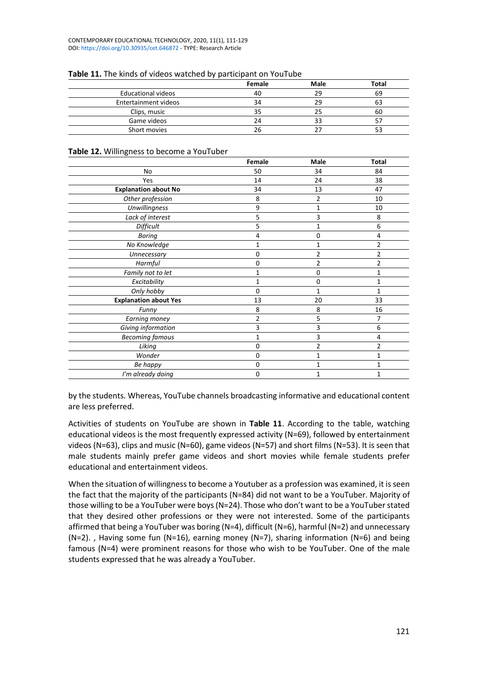|                           | Female | Male | <b>Total</b> |
|---------------------------|--------|------|--------------|
| <b>Educational videos</b> |        | 29   | 69           |
| Entertainment videos      |        |      | ьs           |
| Clips, music              |        |      | 60           |
| Game videos               | 74     |      |              |
| Short movies              | 26     |      |              |

### **Table 11.** The kinds of videos watched by participant on YouTube

### **Table 12.** Willingness to become a YouTuber

|                              | Female       | Male           | <b>Total</b>   |
|------------------------------|--------------|----------------|----------------|
| No                           | 50           | 34             | 84             |
| Yes                          | 14           | 24             | 38             |
| <b>Explanation about No</b>  | 34           | 13             | 47             |
| Other profession             | 8            | 2              | 10             |
| <b>Unwillingness</b>         | 9            | 1              | 10             |
| Lack of interest             | 5            | 3              | 8              |
| Difficult                    | 5            | 1              | 6              |
| <b>Boring</b>                | 4            | 0              | 4              |
| No Knowledge                 | 1            | 1              | $\overline{2}$ |
| Unnecessary                  | 0            | 2              | 2              |
| Harmful                      | 0            | 2              | 2              |
| Family not to let            | 1            | $\Omega$       | 1              |
| Excitability                 | $\mathbf{1}$ | $\Omega$       | 1              |
| Only hobby                   | $\Omega$     | 1              | 1              |
| <b>Explanation about Yes</b> | 13           | 20             | 33             |
| Funny                        | 8            | 8              | 16             |
| Earning money                | 2            | 5              | 7              |
| Giving information           | 3            | 3              | 6              |
| <b>Becoming famous</b>       | 1            | 3              | 4              |
| Liking                       | 0            | $\overline{2}$ | 2              |
| Wonder                       | 0            | 1              | 1              |
| Be happy                     | $\mathbf 0$  | 1              | 1              |
| I'm already doing            | 0            | 1              | 1              |

by the students. Whereas, YouTube channels broadcasting informative and educational content are less preferred.

Activities of students on YouTube are shown in **Table 11**. According to the table, watching educational videos is the most frequently expressed activity (N=69), followed by entertainment videos (N=63), clips and music (N=60), game videos (N=57) and short films (N=53). It is seen that male students mainly prefer game videos and short movies while female students prefer educational and entertainment videos.

When the situation of willingness to become a Youtuber as a profession was examined, it is seen the fact that the majority of the participants (N=84) did not want to be a YouTuber. Majority of those willing to be a YouTuber were boys (N=24). Those who don't want to be a YouTuber stated that they desired other professions or they were not interested. Some of the participants affirmed that being a YouTuber was boring (N=4), difficult (N=6), harmful (N=2) and unnecessary  $(N=2)$ ., Having some fun  $(N=16)$ , earning money  $(N=7)$ , sharing information  $(N=6)$  and being famous (N=4) were prominent reasons for those who wish to be YouTuber. One of the male students expressed that he was already a YouTuber.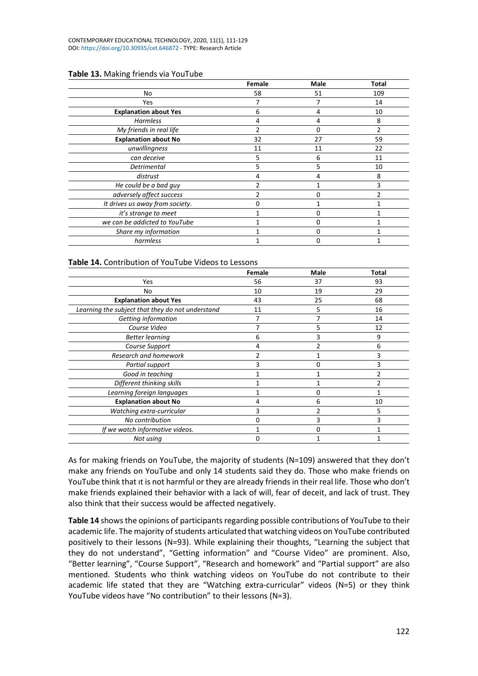|                                 | Female | Male | Total          |
|---------------------------------|--------|------|----------------|
| No                              | 58     | 51   | 109            |
| Yes                             |        |      | 14             |
| <b>Explanation about Yes</b>    | 6      | 4    | 10             |
| Harmless                        | 4      | 4    | 8              |
| My friends in real life         | っ      | 0    | $\mathfrak{p}$ |
| <b>Explanation about No</b>     | 32     | 27   | 59             |
| unwillingness                   | 11     | 11   | 22             |
| can deceive                     | 5      | 6    | 11             |
| <b>Detrimental</b>              | 5      | 5    | 10             |
| distrust                        | 4      | 4    | 8              |
| He could be a bad guy           |        |      | 3              |
| adversely affect success        |        | n    |                |
| It drives us away from society. | O      |      |                |
| it's strange to meet            |        | 0    |                |
| we can be addicted to YouTube   |        |      |                |
| Share my information            |        |      |                |
| harmless                        |        |      |                |

### **Table 13.** Making friends via YouTube

### **Table 14.** Contribution of YouTube Videos to Lessons

|                                                  | Female | <b>Male</b> | <b>Total</b> |
|--------------------------------------------------|--------|-------------|--------------|
| Yes                                              | 56     | 37          | 93           |
| No                                               | 10     | 19          | 29           |
| <b>Explanation about Yes</b>                     | 43     | 25          | 68           |
| Learning the subject that they do not understand | 11     | 5           | 16           |
| Getting information                              |        |             | 14           |
| Course Video                                     |        | 5           | 12           |
| <b>Better learning</b>                           | 6      |             | 9            |
| Course Support                                   |        |             | 6            |
| Research and homework                            |        |             | 3            |
| Partial support                                  |        |             | 3            |
| Good in teaching                                 |        |             |              |
| Different thinking skills                        |        |             |              |
| Learning foreign languages                       |        | ŋ           |              |
| <b>Explanation about No</b>                      | 4      | 6           | 10           |
| Watching extra-curricular                        | 3      |             | 5            |
| No contribution                                  | O      |             | 3            |
| If we watch informative videos.                  |        | n           |              |
| Not using                                        | O      |             |              |
|                                                  |        |             |              |

As for making friends on YouTube, the majority of students (N=109) answered that they don't make any friends on YouTube and only 14 students said they do. Those who make friends on YouTube think that ıt is not harmful or they are already friends in their real life. Those who don't make friends explained their behavior with a lack of will, fear of deceit, and lack of trust. They also think that their success would be affected negatively.

**Table 14** shows the opinions of participants regarding possible contributions of YouTube to their academic life. The majority of students articulated that watching videos on YouTube contributed positively to their lessons (N=93). While explaining their thoughts, "Learning the subject that they do not understand", "Getting information" and "Course Video" are prominent. Also, "Better learning", "Course Support", "Research and homework" and "Partial support" are also mentioned. Students who think watching videos on YouTube do not contribute to their academic life stated that they are "Watching extra-curricular" videos (N=5) or they think YouTube videos have "No contribution" to their lessons (N=3).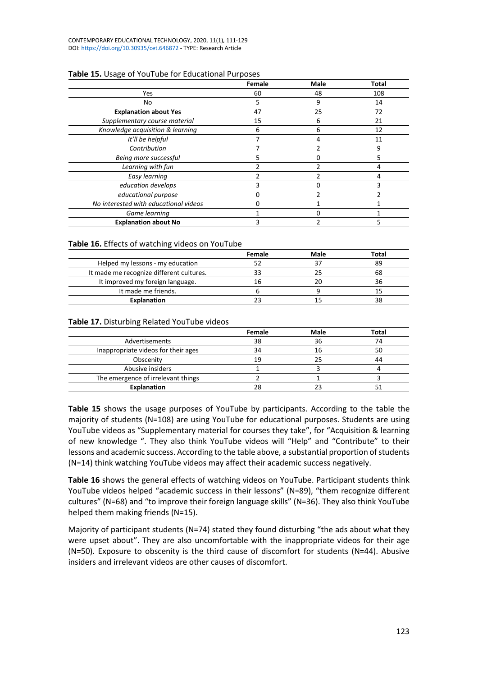|                                       | Female | Male | Total |
|---------------------------------------|--------|------|-------|
| Yes                                   | 60     | 48   | 108   |
| No                                    | 5      | 9    | 14    |
| <b>Explanation about Yes</b>          | 47     | 25   | 72    |
| Supplementary course material         | 15     | 6    | 21    |
| Knowledge acquisition & learning      | 6      | 6    | 12    |
| It'll be helpful                      |        | 4    | 11    |
| Contribution                          |        |      | 9     |
| Being more successful                 | 5      |      | 5     |
| Learning with fun                     |        |      |       |
| Easy learning                         |        |      | 4     |
| education develops                    | 3      |      | 3     |
| educational purpose                   |        |      |       |
| No interested with educational videos |        |      |       |
| Game learning                         |        |      |       |
| <b>Explanation about No</b>           |        |      |       |

# **Table 15.** Usage of YouTube for Educational Purposes

# **Table 16.** Effects of watching videos on YouTube

|                                          | <b>Female</b> | Male | Total |
|------------------------------------------|---------------|------|-------|
| Helped my lessons - my education         |               |      | 89    |
| It made me recognize different cultures. |               |      | 68    |
| It improved my foreign language.         |               |      |       |
| It made me friends.                      |               |      |       |
| <b>Explanation</b>                       |               |      |       |

# **Table 17.** Disturbing Related YouTube videos

|                                     | Female | Male | Total |
|-------------------------------------|--------|------|-------|
| Advertisements                      | 38     | 36   |       |
| Inappropriate videos for their ages | 34     | 16   | 50    |
| Obscenity                           | 19     |      |       |
| Abusive insiders                    |        |      |       |
| The emergence of irrelevant things  |        |      |       |
| <b>Explanation</b>                  |        |      |       |

**Table 15** shows the usage purposes of YouTube by participants. According to the table the majority of students (N=108) are using YouTube for educational purposes. Students are using YouTube videos as "Supplementary material for courses they take", for "Acquisition & learning of new knowledge ". They also think YouTube videos will "Help" and "Contribute" to their lessons and academic success. According to the table above, a substantial proportion of students (N=14) think watching YouTube videos may affect their academic success negatively.

**Table 16** shows the general effects of watching videos on YouTube. Participant students think YouTube videos helped "academic success in their lessons" (N=89), "them recognize different cultures" (N=68) and "to improve their foreign language skills" (N=36). They also think YouTube helped them making friends (N=15).

Majority of participant students (N=74) stated they found disturbing "the ads about what they were upset about". They are also uncomfortable with the inappropriate videos for their age (N=50). Exposure to obscenity is the third cause of discomfort for students (N=44). Abusive insiders and irrelevant videos are other causes of discomfort.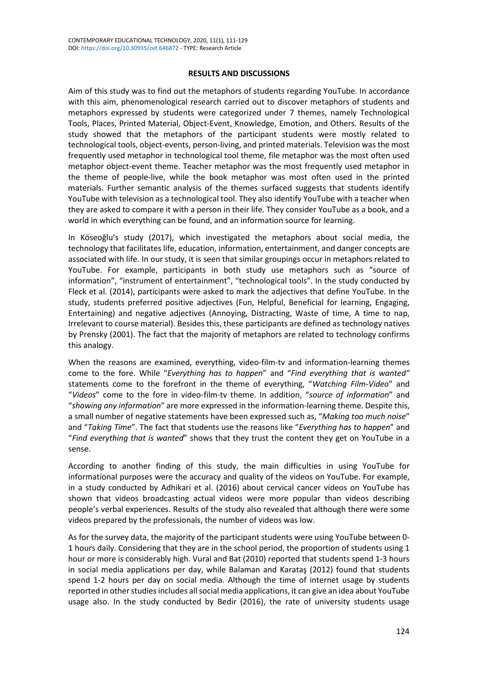# **RESULTS AND DISCUSSIONS**

Aim of this study was to find out the metaphors of students regarding YouTube. In accordance with this aim, phenomenological research carried out to discover metaphors of students and metaphors expressed by students were categorized under 7 themes, namely Technological Tools, Places, Printed Material, Object-Event, Knowledge, Emotion, and Others. Results of the study showed that the metaphors of the participant students were mostly related to technological tools, object-events, person-living, and printed materials. Television was the most frequently used metaphor in technological tool theme, file metaphor was the most often used metaphor object-event theme. Teacher metaphor was the most frequently used metaphor in the theme of people-live, while the book metaphor was most often used in the printed materials. Further semantic analysis of the themes surfaced suggests that students identify YouTube with television as a technological tool. They also identify YouTube with a teacher when they are asked to compare it with a person in their life. They consider YouTube as a book, and a world in which everything can be found, and an information source for learning.

In Köseoğlu's study (2017), which investigated the metaphors about social media, the technology that facilitates life, education, information, entertainment, and danger concepts are associated with life. In our study, it is seen that similar groupings occur in metaphors related to YouTube. For example, participants in both study use metaphors such as "source of information", "instrument of entertainment", "technological tools". In the study conducted by Fleck et al. (2014), participants were asked to mark the adjectives that define YouTube. In the study, students preferred positive adjectives (Fun, Helpful, Beneficial for learning, Engaging, Entertaining) and negative adjectives (Annoying, Distracting, Waste of time, A time to nap, Irrelevant to course material). Besides this, these participants are defined as technology natives by Prensky (2001). The fact that the majority of metaphors are related to technology confirms this analogy.

When the reasons are examined, everything, video-film-tv and information-learning themes come to the fore. While "*Everything has to happen*" and "*Find everything that is wanted"* statements come to the forefront in the theme of everything, "*Watching Film-Video*" and "*Videos*" come to the fore in video-film-tv theme. In addition, "*source of information*" and "*showing any information*" are more expressed in the information-learning theme. Despite this, a small number of negative statements have been expressed such as, "*Making too much noise*" and "*Taking Time*". The fact that students use the reasons like "*Everything has to happen*" and "*Find everything that is wanted*" shows that they trust the content they get on YouTube in a sense.

According to another finding of this study, the main difficulties in using YouTube for informational purposes were the accuracy and quality of the videos on YouTube. For example, in a study conducted by Adhikari et al. (2016) about cervical cancer videos on YouTube has shown that videos broadcasting actual videos were more popular than videos describing people's verbal experiences. Results of the study also revealed that although there were some videos prepared by the professionals, the number of videos was low.

As for the survey data, the majority of the participant students were using YouTube between 0- 1 hours daily. Considering that they are in the school period, the proportion of students using 1 hour or more is considerably high. Vural and Bat (2010) reported that students spend 1-3 hours in social media applications per day, while Balaman and Karataş (2012) found that students spend 1-2 hours per day on social media. Although the time of internet usage by students reported in other studies includes all social media applications, it can give an idea about YouTube usage also. In the study conducted by Bedir (2016), the rate of university students usage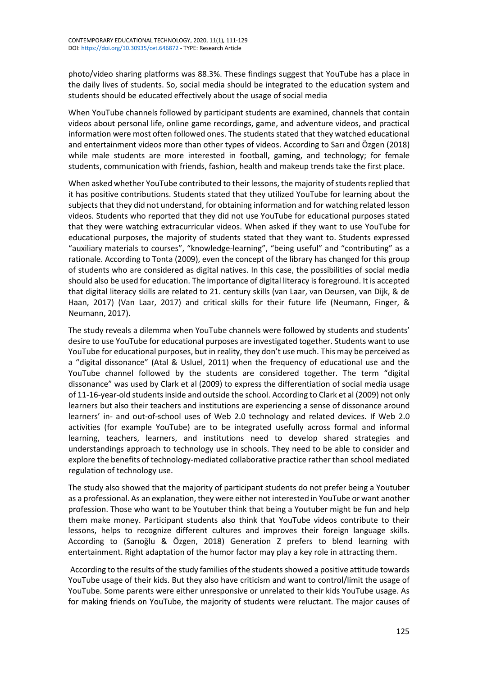photo/video sharing platforms was 88.3%. These findings suggest that YouTube has a place in the daily lives of students. So, social media should be integrated to the education system and students should be educated effectively about the usage of social media

When YouTube channels followed by participant students are examined, channels that contain videos about personal life, online game recordings, game, and adventure videos, and practical information were most often followed ones. The students stated that they watched educational and entertainment videos more than other types of videos. According to Sarı and Özgen (2018) while male students are more interested in football, gaming, and technology; for female students, communication with friends, fashion, health and makeup trends take the first place.

When asked whether YouTube contributed to their lessons, the majority of students replied that it has positive contributions. Students stated that they utilized YouTube for learning about the subjects that they did not understand, for obtaining information and for watching related lesson videos. Students who reported that they did not use YouTube for educational purposes stated that they were watching extracurricular videos. When asked if they want to use YouTube for educational purposes, the majority of students stated that they want to. Students expressed "auxiliary materials to courses", "knowledge-learning", "being useful" and "contributing" as a rationale. According to Tonta (2009), even the concept of the library has changed for this group of students who are considered as digital natives. In this case, the possibilities of social media should also be used for education. The importance of digital literacy is foreground. It is accepted that digital literacy skills are related to 21. century skills (van Laar, van Deursen, van Dijk, & de Haan, 2017) (Van Laar, 2017) and critical skills for their future life (Neumann, Finger, & Neumann, 2017).

The study reveals a dilemma when YouTube channels were followed by students and students' desire to use YouTube for educational purposes are investigated together. Students want to use YouTube for educational purposes, but in reality, they don't use much. This may be perceived as a "digital dissonance" (Atal & Usluel, 2011) when the frequency of educational use and the YouTube channel followed by the students are considered together. The term "digital dissonance" was used by Clark et al (2009) to express the differentiation of social media usage of 11-16-year-old studentsinside and outside the school. According to Clark et al (2009) not only learners but also their teachers and institutions are experiencing a sense of dissonance around learners' in- and out-of-school uses of Web 2.0 technology and related devices. If Web 2.0 activities (for example YouTube) are to be integrated usefully across formal and informal learning, teachers, learners, and institutions need to develop shared strategies and understandings approach to technology use in schools. They need to be able to consider and explore the benefits of technology-mediated collaborative practice rather than school mediated regulation of technology use.

The study also showed that the majority of participant students do not prefer being a Youtuber as a professional. As an explanation, they were either not interested in YouTube or want another profession. Those who want to be Youtuber think that being a Youtuber might be fun and help them make money. Participant students also think that YouTube videos contribute to their lessons, helps to recognize different cultures and improves their foreign language skills. According to (Sarıoğlu & Özgen, 2018) Generation Z prefers to blend learning with entertainment. Right adaptation of the humor factor may play a key role in attracting them.

According to the results of the study families of the studentsshowed a positive attitude towards YouTube usage of their kids. But they also have criticism and want to control/limit the usage of YouTube. Some parents were either unresponsive or unrelated to their kids YouTube usage. As for making friends on YouTube, the majority of students were reluctant. The major causes of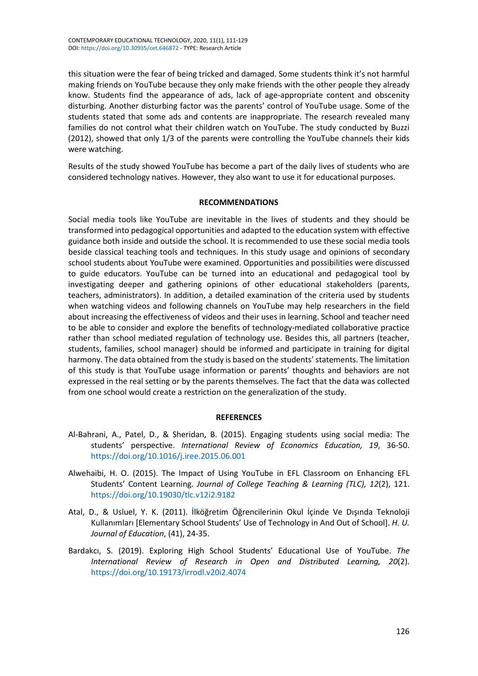this situation were the fear of being tricked and damaged. Some students think it's not harmful making friends on YouTube because they only make friends with the other people they already know. Students find the appearance of ads, lack of age-appropriate content and obscenity disturbing. Another disturbing factor was the parents' control of YouTube usage. Some of the students stated that some ads and contents are inappropriate. The research revealed many families do not control what their children watch on YouTube. The study conducted by Buzzi (2012), showed that only 1/3 of the parents were controlling the YouTube channels their kids were watching.

Results of the study showed YouTube has become a part of the daily lives of students who are considered technology natives. However, they also want to use it for educational purposes.

# **RECOMMENDATIONS**

Social media tools like YouTube are inevitable in the lives of students and they should be transformed into pedagogical opportunities and adapted to the education system with effective guidance both inside and outside the school. It is recommended to use these social media tools beside classical teaching tools and techniques. In this study usage and opinions of secondary school students about YouTube were examined. Opportunities and possibilities were discussed to guide educators. YouTube can be turned into an educational and pedagogical tool by investigating deeper and gathering opinions of other educational stakeholders (parents, teachers, administrators). In addition, a detailed examination of the criteria used by students when watching videos and following channels on YouTube may help researchers in the field about increasing the effectiveness of videos and their uses in learning. School and teacher need to be able to consider and explore the benefits of technology-mediated collaborative practice rather than school mediated regulation of technology use. Besides this, all partners (teacher, students, families, school manager) should be informed and participate in training for digital harmony. The data obtained from the study is based on the students' statements. The limitation of this study is that YouTube usage information or parents' thoughts and behaviors are not expressed in the real setting or by the parents themselves. The fact that the data was collected from one school would create a restriction on the generalization of the study.

### **REFERENCES**

- Al-Bahrani, A., Patel, D., & Sheridan, B. (2015). Engaging students using social media: The students' perspective. *International Review of Economics Education, 19*, 36-50. <https://doi.org/10.1016/j.iree.2015.06.001>
- Alwehaibi, H. O. (2015). The Impact of Using YouTube in EFL Classroom on Enhancing EFL Students' Content Learning. *Journal of College Teaching & Learning (TLC), 12*(2), 121. <https://doi.org/10.19030/tlc.v12i2.9182>
- Atal, D., & Usluel, Y. K. (2011). İlköğretim Öğrencilerinin Okul İçinde Ve Dışında Teknoloji Kullanımları [Elementary School Students' Use of Technology in And Out of School]. *H. U. Journal of Education*, (41), 24-35.
- Bardakcı, S. (2019). Exploring High School Students' Educational Use of YouTube. *The International Review of Research in Open and Distributed Learning, 20*(2). <https://doi.org/10.19173/irrodl.v20i2.4074>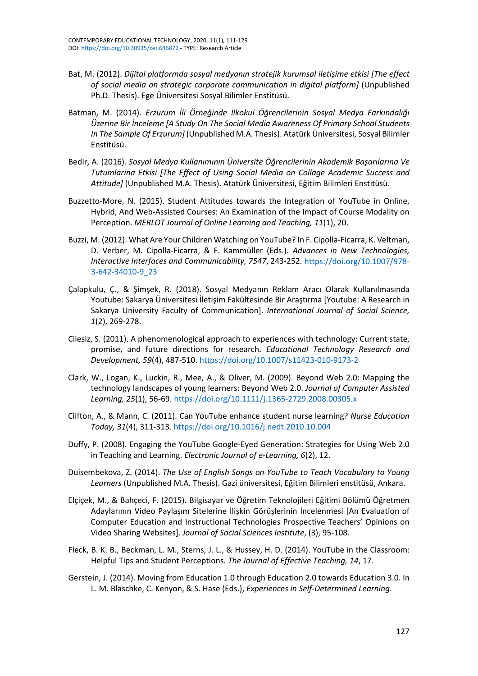- Bat, M. (2012). *Dijital platformda sosyal medyanın stratejik kurumsal iletişime etkisi [The effect of social media on strategic corporate communication in digital platform]* (Unpublished Ph.D. Thesis). Ege Üniversitesi Sosyal Bilimler Enstitüsü.
- Batman, M. (2014). *Erzurum İli Örneğinde İlkokul Öğrencilerinin Sosyal Medya Farkındalığı Üzerine Bir İnceleme [A Study On The Social Media Awareness Of Primary School Students In The Sample Of Erzurum]* (Unpublished M.A. Thesis). Atatürk Üniversitesi, Sosyal Bilimler Enstitüsü.
- Bedir, A. (2016). *Sosyal Medya Kullanımının Üniversite Öğrencilerinin Akademik Başarılarına Ve Tutumlarına Etkisi [The Effect of Using Social Media on Collage Academic Success and Attitude]* (Unpublished M.A. Thesis). Atatürk Üniversitesi, Eğitim Bilimleri Enstitüsü.
- Buzzetto-More, N. (2015). Student Attitudes towards the Integration of YouTube in Online, Hybrid, And Web-Assisted Courses: An Examination of the Impact of Course Modality on Perception. *MERLOT Journal of Online Learning and Teaching, 11*(1), 20.
- Buzzi, M. (2012). What Are Your Children Watching on YouTube? In F. Cipolla-Ficarra, K. Veltman, D. Verber, M. Cipolla-Ficarra, & F. Kammüller (Eds.). *Advances in New Technologies, Interactive Interfaces and Communicability, 7547*, 243-252. [https://doi.org/10.1007/978-](https://doi.org/10.1007/978-3-642-34010-9_23) [3-642-34010-9\\_23](https://doi.org/10.1007/978-3-642-34010-9_23)
- Çalapkulu, Ç., & Şimşek, R. (2018). Sosyal Medyanın Reklam Aracı Olarak Kullanılmasında Youtube: Sakarya Üniversitesi İletişim Fakültesinde Bir Araştırma [Youtube: A Research in Sakarya University Faculty of Communication]. *International Journal of Social Science, 1*(2), 269-278.
- Cilesiz, S. (2011). A phenomenological approach to experiences with technology: Current state, promise, and future directions for research. *Educational Technology Research and Development, 59*(4), 487-510. <https://doi.org/10.1007/s11423-010-9173-2>
- Clark, W., Logan, K., Luckin, R., Mee, A., & Oliver, M. (2009). Beyond Web 2.0: Mapping the technology landscapes of young learners: Beyond Web 2.0. *Journal of Computer Assisted Learning, 25*(1), 56-69. <https://doi.org/10.1111/j.1365-2729.2008.00305.x>
- Clifton, A., & Mann, C. (2011). Can YouTube enhance student nurse learning? *Nurse Education Today, 31*(4), 311-313. <https://doi.org/10.1016/j.nedt.2010.10.004>
- Duffy, P. (2008). Engaging the YouTube Google-Eyed Generation: Strategies for Using Web 2.0 in Teaching and Learning. *Electronic Journal of e-Learning, 6*(2), 12.
- Duisembekova, Z. (2014). *The Use of English Songs on YouTube to Teach Vocabulary to Young Learners* (Unpublished M.A. Thesis). Gazi üniversitesi, Eğitim Bilimleri enstitüsü, Ankara.
- Elçiçek, M., & Bahçeci, F. (2015). Bilgisayar ve Öğretim Teknolojileri Eğitimi Bölümü Öğretmen Adaylarının Video Paylaşım Sitelerine İlişkin Görüşlerinin İncelenmesi [An Evaluation of Computer Education and Instructional Technologies Prospective Teachers' Opinions on Video Sharing Websites]. *Journal of Social Sciences Institute*, (3), 95-108.
- Fleck, B. K. B., Beckman, L. M., Sterns, J. L., & Hussey, H. D. (2014). YouTube in the Classroom: Helpful Tips and Student Perceptions. *The Journal of Effective Teaching, 14*, 17.
- Gerstein, J. (2014). Moving from Education 1.0 through Education 2.0 towards Education 3.0. In L. M. Blaschke, C. Kenyon, & S. Hase (Eds.), *Experiences in Self-Determined Learning*.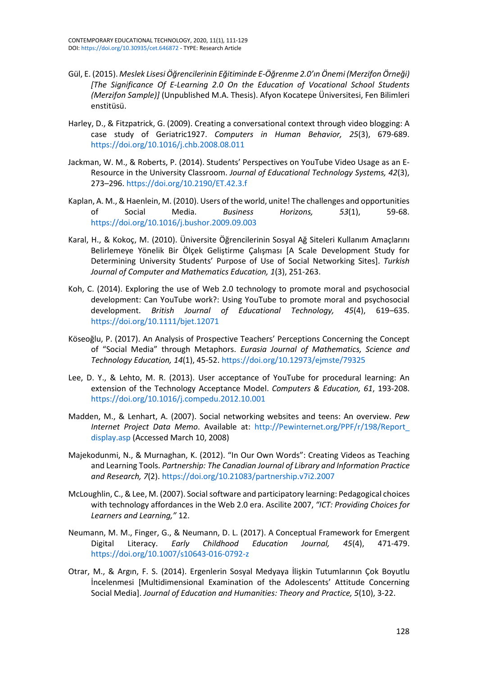- Gül, E. (2015). *Meslek LisesiÖğrencilerinin Eğitiminde E-Öğrenme 2.0'ın Önemi (Merzifon Örneği) [The Significance Of E-Learning 2.0 On the Education of Vocational School Students (Merzifon Sample)]* (Unpublished M.A. Thesis). Afyon Kocatepe Üniversitesi, Fen Bilimleri enstitüsü.
- Harley, D., & Fitzpatrick, G. (2009). Creating a conversational context through video blogging: A case study of Geriatric1927. *Computers in Human Behavior, 25*(3), 679-689. <https://doi.org/10.1016/j.chb.2008.08.011>
- Jackman, W. M., & Roberts, P. (2014). Students' Perspectives on YouTube Video Usage as an E-Resource in the University Classroom. *Journal of Educational Technology Systems, 42*(3), 273–296. <https://doi.org/10.2190/ET.42.3.f>
- Kaplan, A. M., & Haenlein, M. (2010). Users of the world, unite! The challenges and opportunities of Social Media. *Business Horizons, 53*(1), 59-68. <https://doi.org/10.1016/j.bushor.2009.09.003>
- Karal, H., & Kokoç, M. (2010). Üniversite Öğrencilerinin Sosyal Ağ Siteleri Kullanım Amaçlarını Belirlemeye Yönelik Bir Ölçek Geliştirme Çalışması [A Scale Development Study for Determining University Students' Purpose of Use of Social Networking Sites]. *Turkish Journal of Computer and Mathematics Education, 1*(3), 251-263.
- Koh, C. (2014). Exploring the use of Web 2.0 technology to promote moral and psychosocial development: Can YouTube work?: Using YouTube to promote moral and psychosocial development. *British Journal of Educational Technology, 45*(4), 619–635. <https://doi.org/10.1111/bjet.12071>
- Köseoğlu, P. (2017). An Analysis of Prospective Teachers' Perceptions Concerning the Concept of "Social Media" through Metaphors. *Eurasia Journal of Mathematics, Science and Technology Education, 14*(1), 45-52. <https://doi.org/10.12973/ejmste/79325>
- Lee, D. Y., & Lehto, M. R. (2013). User acceptance of YouTube for procedural learning: An extension of the Technology Acceptance Model. *Computers & Education, 61*, 193-208. <https://doi.org/10.1016/j.compedu.2012.10.001>
- Madden, M., & Lenhart, A. (2007). Social networking websites and teens: An overview. *Pew Internet Project Data Memo*. Available at: [http://Pewinternet.org/PPF/r/198/Report\\_](http://pewinternet.org/PPF/r/198/Report_display.asp) [display.asp](http://pewinternet.org/PPF/r/198/Report_display.asp) (Accessed March 10, 2008)
- Majekodunmi, N., & Murnaghan, K. (2012). "In Our Own Words": Creating Videos as Teaching and Learning Tools. *Partnership: The Canadian Journal of Library and Information Practice and Research, 7*(2). <https://doi.org/10.21083/partnership.v7i2.2007>
- McLoughlin, C., & Lee, M. (2007). Social software and participatory learning: Pedagogical choices with technology affordances in the Web 2.0 era. Ascilite 2007, *"ICT: Providing Choices for Learners and Learning,"* 12.
- Neumann, M. M., Finger, G., & Neumann, D. L. (2017). A Conceptual Framework for Emergent Digital Literacy. *Early Childhood Education Journal, 45*(4), 471-479. [https://doi.org/10.1007/s10643-016-0792-](https://doi.org/10.1007/s10643-016-0792-z)z
- Otrar, M., & Argın, F. S. (2014). Ergenlerin Sosyal Medyaya İlişkin Tutumlarının Çok Boyutlu İncelenmesi [Multidimensional Examination of the Adolescents' Attitude Concerning Social Media]. *Journal of Education and Humanities: Theory and Practice, 5*(10), 3-22.